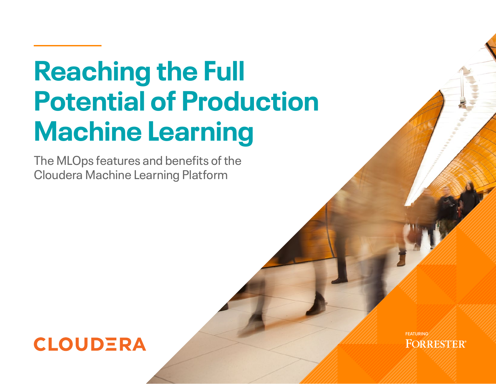# **Reaching the Full Potential of Production Machine Learning**

The MLOps features and benefits of the Cloudera Machine Learning Platform

# **CLOUDERA**

**FEATURINGFOR RESTER**®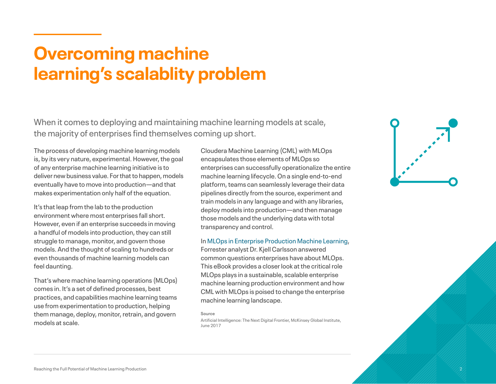### **Overcoming machine learning's scalablity problem**

When it comes to deploying and maintaining machine learning models at scale, the majority of enterprises find themselves coming up short.

The process of developing machine learning models is, by its very nature, experimental. However, the goal of any enterprise machine learning initiative is to deliver new business value. For that to happen, models eventually have to move into production—and that makes experimentation only half of the equation.

It's that leap from the lab to the production environment where most enterprises fall short. However, even if an enterprise succeeds in moving a handful of models into production, they can still struggle to manage, monitor, and govern those models. And the thought of scaling to hundreds or even thousands of machine learning models can feel daunting.

That's where machine learning operations (MLOps) comes in. It's a set of defined processes, best practices, and capabilities machine learning teams use from experimentation to production, helping them manage, deploy, monitor, retrain, and govern models at scale.

Cloudera Machine Learning (CML) with MLOps encapsulates those elements of MLOps so enterprises can successfully operationalize the entire machine learning lifecycle. On a single end-to-end platform, teams can seamlessly leverage their data pipelines directly from the source, experiment and train models in any language and with any libraries, deploy models into production—and then manage those models and the underlying data with total transparency and control.

In [MLOps in Enterprise Production Machine Learning](https://www.cloudera.com/content/dam/www/marketing/resources/analyst-reports/cldr-forrester-mlops-enterprise-production-ml-letter.pdf.landing.html), Forrester analyst Dr. Kjell Carlsson answered

common questions enterprises have about MLOps. This eBook provides a closer look at the critical role MLOps plays in a sustainable, scalable enterprise machine learning production environment and how CML with MLOps is poised to change the enterprise machine learning landscape.

#### **Source**

Artificial Intelligence: The Next Digital Frontier, McKinsey Global Institute, June 2017

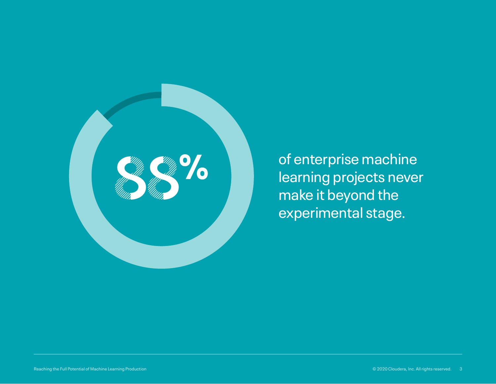

of enterprise machine learning projects never make it beyond the experimental stage.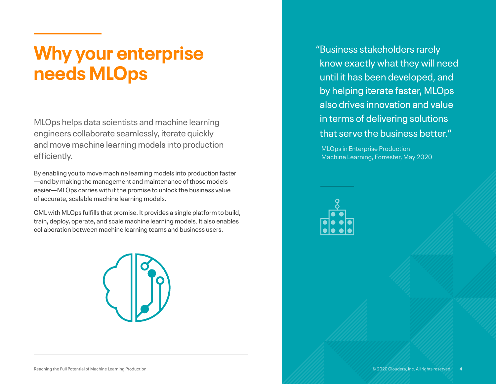### **Why your enterprise needs MLOps**

MLOps helps data scientists and machine learning engineers collaborate seamlessly, iterate quickly and move machine learning models into production efficiently.

By enabling you to move machine learning models into production faster —and by making the management and maintenance of those models easier—MLOps carries with it the promise to unlock the business value of accurate, scalable machine learning models.

CML with MLOps fulfills that promise. It provides a single platform to build, train, deploy, operate, and scale machine learning models. It also enables collaboration between machine learning teams and business users.



"Business stakeholders rarely know exactly what they will need until it has been developed, and by helping iterate faster, MLOps also drives innovation and value in terms of delivering solutions that serve the business better."

MLOps in Enterprise Production Machine Learning, Forrester, May 2020

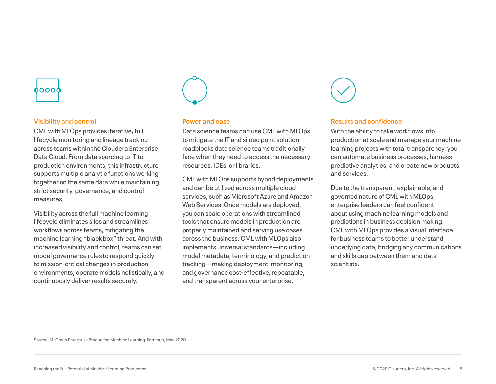# boooc

### **Visibility and control**

CML with MLOps provides iterative, full lifecycle monitoring and lineage tracking across teams within the Cloudera Enterprise Data Cloud. From data sourcing to IT to production environments, this infrastructure supports multiple analytic functions working together on the same data while maintaining strict security, governance, and control measures.

Visibility across the full machine learning lifecycle eliminates silos and streamlines workflows across teams, mitigating the machine learning "black box" threat. And with increased visibility and control, teams can set model governance rules to respond quickly to mission-critical changes in production environments, operate models holistically, and continuously deliver results securely.



### **Power and ease**

Data science teams can use CML with MLOps to mitigate the IT and siloed point solution roadblocks data science teams traditionally face when they need to access the necessary resources, IDEs, or libraries.

CML with MLOps supports hybrid deployments and can be utilized across multiple cloud services, such as Microsoft Azure and Amazon Web Services. Once models are deployed, you can scale operations with streamlined tools that ensure models in production are properly maintained and serving use cases across the business. CML with MLOps also implements universal standards—including model metadata, terminology, and prediction tracking—making deployment, monitoring, and governance cost-effective, repeatable, and transparent across your enterprise.



#### **Results and confidence**

With the ability to take workflows into production at scale and manage your machine learning projects with total transparency, you can automate business processes, harness predictive analytics, and create new products and services.

Due to the transparent, explainable, and governed nature of CML with MLOps, enterprise leaders can feel confident about using machine learning models and predictions in business decision making. CML with MLOps provides a visual interface for business teams to better understand underlying data, bridging any communications and skills gap between them and data scientists.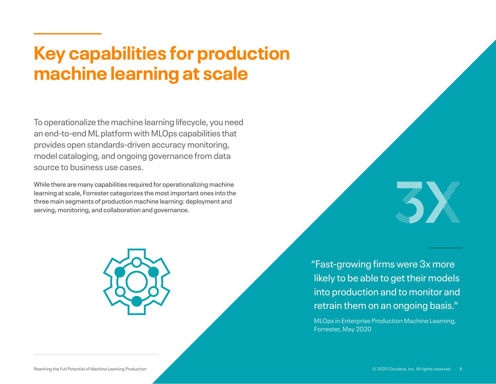# **Key capabilities for production machine learning at scale**

To operationalize the machine learning lifecycle, you need an end-to-end ML platform with MLOps capabilities that provides open standards-driven accuracy monitoring, model cataloging, and ongoing governance from data source to business use cases.

While there are many capabilities required for operationalizing machine learning at scale, Forrester categorizes the most important ones into the three main segments of production machine learning: deployment and serving, monitoring, and collaboration and governance.



"Fast-growing firms were 3x more likely to be able to get their models into production and to monitor and retrain them on an ongoing basis."

MLOps in Enterprise Production Machine Learning, Forrester, May 2020

**11 Summary Summary Service**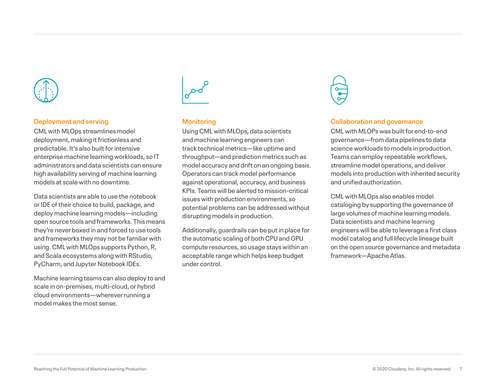

### **Deployment and serving**

CML with MLOps streamlines model deployment, making it frictionless and predictable. It's also built for intensive enterprise machine learning workloads, so IT administrators and data scientists can ensure high availability serving of machine learning models at scale with no downtime.

Data scientists are able to use the notebook or IDE of their choice to build, package, and deploy machine learning models—including open source tools and frameworks. This means they're never boxed in and forced to use tools and frameworks they may not be familiar with using. CML with MLOps supports Python, R, and Scala ecosystems along with RStudio, PyCharm, and Jupyter Notebook IDEs.

Machine learning teams can also deploy to and scale in on-premises, multi-cloud, or hybrid cloud environments—wherever running a model makes the most sense.



### **Monitoring**

Using CML with MLOps, data scientists and machine learning engineers can track technical metrics—like uptime and throughput—and prediction metrics such as model accuracy and drift on an ongoing basis. Operators can track model performance against operational, accuracy, and business KPIs. Teams will be alerted to mission-critical issues with production environments, so potential problems can be addressed without disrupting models in production.

Additionally, guardrails can be put in place for the automatic scaling of both CPU and GPU compute resources, so usage stays within an acceptable range which helps keep budget under control.



#### **Collaboration and governance**

CML with MLOPs was built for end-to-end governance—from data pipelines to data science workloads to models in production. Teams can employ repeatable workflows, streamline model operations, and deliver models into production with inherited security and unified authorization.

CML with MLOps also enables model cataloging by supporting the governance of large volumes of machine learning models. Data scientists and machine learning engineers will be able to leverage a first class model catalog and full lifecycle lineage built on the open source governance and metadata framework—Apache Atlas.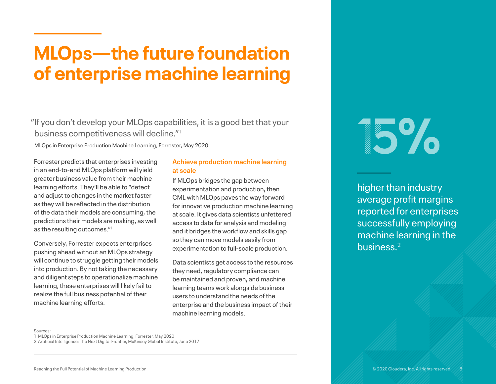# **MLOps—the future foundation of enterprise machine learning**

"If you don't develop your MLOps capabilities, it is a good bet that your business competitiveness will decline."1 MLOps in Enterprise Production Machine Learning, Forrester, May 2020<br>MLOps in Enterprise Production Machine Learning, Forrester, May 2020<br>MLOps in Enterprise Production Machine Learning, Forrester, May 2020

Forrester predicts that enterprises investing in an end-to-end MLOps platform will yield greater business value from their machine learning efforts. They'll be able to "detect and adjust to changes in the market faster as they will be reflected in the distribution of the data their models are consuming, the predictions their models are making, as well as the resulting outcomes."1

Conversely, Forrester expects enterprises pushing ahead without an MLOps strategy will continue to struggle getting their models into production. By not taking the necessary and diligent steps to operationalize machine learning, these enterprises will likely fail to realize the full business potential of their machine learning efforts.

### **Achieve production machine learning at scale**

If MLOps bridges the gap between experimentation and production, then CML with MLOps paves the way forward for innovative production machine learning at scale. It gives data scientists unfettered access to data for analysis and modeling and it bridges the workflow and skills gap so they can move models easily from experimentation to full-scale production.

Data scientists get access to the resources they need, regulatory compliance can be maintained and proven, and machine learning teams work alongside business users to understand the needs of the enterprise and the business impact of their machine learning models.

higher than industry average profit margins reported for enterprises successfully employing machine learning in the business.2

#### Sources:

1 MLOps in Enterprise Production Machine Learning, Forrester, May 2020

2 Artificial Intelligence: The Next Digital Frontier, McKinsey Global Institute, June 2017